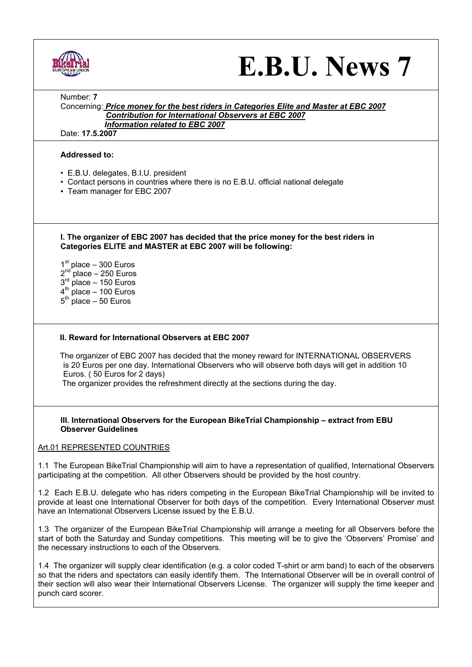|--|

# **E.B.U. News 7**

Number: **7** 

Concerning: *Price money for the best riders in Categories Elite and Master at EBC 2007 Contribution for International Observers at EBC 2007* *Information related to EBC 2007*

Date: **17.5.2007**

## **Addressed to:**

- E.B.U. delegates, B.I.U. president
- Contact persons in countries where there is no E.B.U. official national delegate
- Team manager for EBC 2007

**I. The organizer of EBC 2007 has decided that the price money for the best riders in Categories ELITE and MASTER at EBC 2007 will be following:** 

 $1<sup>st</sup>$  place – 300 Euros  $2<sup>nd</sup>$  place – 250 Euros  $3<sup>rd</sup>$  place – 150 Euros  $4<sup>th</sup>$  place – 100 Euros  $5<sup>th</sup>$  place – 50 Euros

## **II. Reward for International Observers at EBC 2007**

 The organizer of EBC 2007 has decided that the money reward for INTERNATIONAL OBSERVERS is 20 Euros per one day. International Observers who will observe both days will get in addition 10 Euros. ( 50 Euros for 2 days)

The organizer provides the refreshment directly at the sections during the day.

#### **III. International Observers for the European BikeTrial Championship – extract from EBU Observer Guidelines**

## Art.01 REPRESENTED COUNTRIES

1.1 The European BikeTrial Championship will aim to have a representation of qualified, International Observers participating at the competition. All other Observers should be provided by the host country.

1.2 Each E.B.U. delegate who has riders competing in the European BikeTrial Championship will be invited to provide at least one International Observer for both days of the competition. Every International Observer must have an International Observers License issued by the E.B.U.

1.3 The organizer of the European BikeTrial Championship will arrange a meeting for all Observers before the start of both the Saturday and Sunday competitions. This meeting will be to give the 'Observers' Promise' and the necessary instructions to each of the Observers.

1.4 The organizer will supply clear identification (e.g. a color coded T-shirt or arm band) to each of the observers so that the riders and spectators can easily identify them. The International Observer will be in overall control of their section will also wear their International Observers License. The organizer will supply the time keeper and punch card scorer.